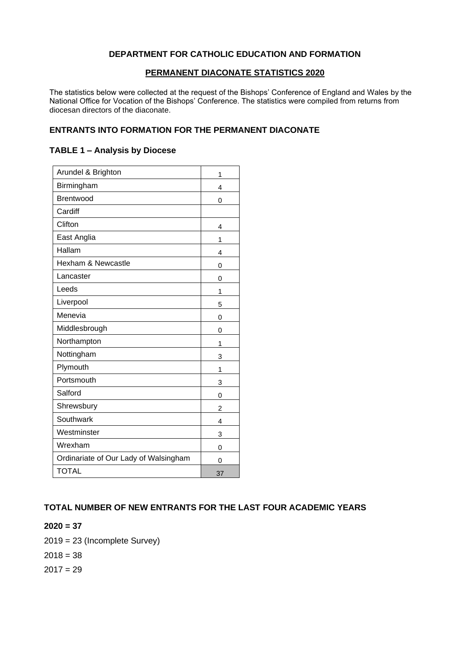### **DEPARTMENT FOR CATHOLIC EDUCATION AND FORMATION**

#### **PERMANENT DIACONATE STATISTICS 2020**

The statistics below were collected at the request of the Bishops' Conference of England and Wales by the National Office for Vocation of the Bishops' Conference. The statistics were compiled from returns from diocesan directors of the diaconate.

### **ENTRANTS INTO FORMATION FOR THE PERMANENT DIACONATE**

#### **TABLE 1 – Analysis by Diocese**

| Arundel & Brighton                    | 1              |
|---------------------------------------|----------------|
| Birmingham                            | 4              |
| Brentwood                             | 0              |
| Cardiff                               |                |
| Clifton                               | 4              |
| East Anglia                           | 1              |
| Hallam                                | 4              |
| Hexham & Newcastle                    | 0              |
| Lancaster                             | 0              |
| Leeds                                 | 1              |
| Liverpool                             | 5              |
| Menevia                               | $\overline{0}$ |
| Middlesbrough                         | 0              |
| Northampton                           | 1              |
| Nottingham                            | 3              |
| Plymouth                              | 1              |
| Portsmouth                            | 3              |
| Salford                               | $\Omega$       |
| Shrewsbury                            | $\overline{2}$ |
| Southwark                             | 4              |
| Westminster                           | 3              |
| Wrexham                               | 0              |
| Ordinariate of Our Lady of Walsingham | 0              |
| <b>TOTAL</b>                          | 37             |

## **TOTAL NUMBER OF NEW ENTRANTS FOR THE LAST FOUR ACADEMIC YEARS**

### **2020 = 37**

2019 = 23 (Incomplete Survey)

 $2018 = 38$ 

 $2017 = 29$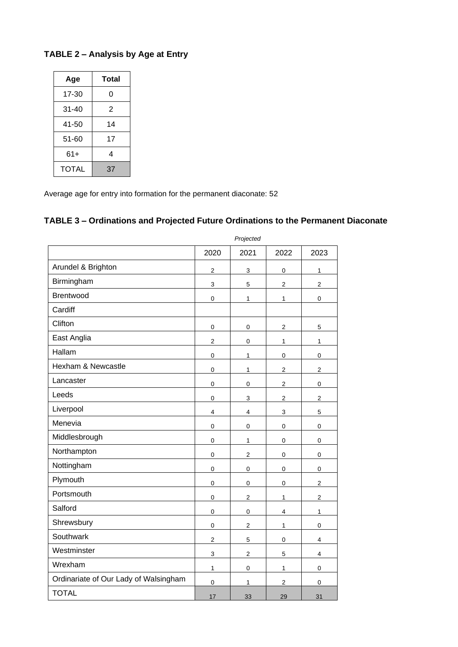# **TABLE 2 – Analysis by Age at Entry**

| Age          | Total |  |  |
|--------------|-------|--|--|
| 17-30        | 0     |  |  |
| $31 - 40$    | 2     |  |  |
| 41-50        | 14    |  |  |
| 51-60        | 17    |  |  |
| 61+          | 4     |  |  |
| <b>TOTAL</b> | 37    |  |  |

Average age for entry into formation for the permanent diaconate: 52

# **TABLE 3 – Ordinations and Projected Future Ordinations to the Permanent Diaconate**

|                                       | Projectea               |                         |                         |                         |
|---------------------------------------|-------------------------|-------------------------|-------------------------|-------------------------|
|                                       | 2020                    | 2021                    | 2022                    | 2023                    |
| Arundel & Brighton                    | $\overline{\mathbf{c}}$ | 3                       | $\pmb{0}$               | 1                       |
| Birmingham                            | 3                       | 5                       | $\overline{c}$          | $\overline{\mathbf{c}}$ |
| Brentwood                             | $\pmb{0}$               | 1                       | $\mathbf{1}$            | $\pmb{0}$               |
| Cardiff                               |                         |                         |                         |                         |
| Clifton                               | $\pmb{0}$               | $\mathbf 0$             | $\mathbf 2$             | $\mathbf 5$             |
| East Anglia                           | $\mathbf 2$             | $\mathbf 0$             | 1                       | $\mathbf 1$             |
| Hallam                                | $\mathbf 0$             | 1                       | 0                       | 0                       |
| Hexham & Newcastle                    | 0                       | 1                       | $\overline{c}$          | $\overline{c}$          |
| Lancaster                             | $\mathbf 0$             | $\pmb{0}$               | $\overline{2}$          | $\pmb{0}$               |
| Leeds                                 | $\mathbf 0$             | 3                       | $\overline{c}$          | $\overline{\mathbf{c}}$ |
| Liverpool                             | 4                       | 4                       | 3                       | 5                       |
| Menevia                               | $\pmb{0}$               | $\mathbf 0$             | $\mathbf 0$             | $\pmb{0}$               |
| Middlesbrough                         | $\mathbf 0$             | $\mathbf{1}$            | 0                       | $\pmb{0}$               |
| Northampton                           | $\mathbf 0$             | $\overline{2}$          | $\pmb{0}$               | $\pmb{0}$               |
| Nottingham                            | $\mathbf 0$             | $\mathbf 0$             | $\pmb{0}$               | $\mathsf 0$             |
| Plymouth                              | $\mathbf 0$             | $\pmb{0}$               | $\pmb{0}$               | $\overline{c}$          |
| Portsmouth                            | 0                       | $\mathbf 2$             | 1                       | $\sqrt{2}$              |
| Salford                               | $\pmb{0}$               | $\mathbf 0$             | $\overline{\mathbf{4}}$ | 1                       |
| Shrewsbury                            | $\mathbf 0$             | $\overline{\mathbf{c}}$ | 1                       | $\pmb{0}$               |
| Southwark                             | $\overline{c}$          | 5                       | 0                       | 4                       |
| Westminster                           | 3                       | $\overline{c}$          | $\mathbf 5$             | 4                       |
| Wrexham                               | 1                       | $\pmb{0}$               | $\mathbf{1}$            | $\pmb{0}$               |
| Ordinariate of Our Lady of Walsingham | 0                       | 1                       | $\sqrt{2}$              | 0                       |
| <b>TOTAL</b>                          | 17                      | 33                      | 29                      | 31                      |

*Projected*